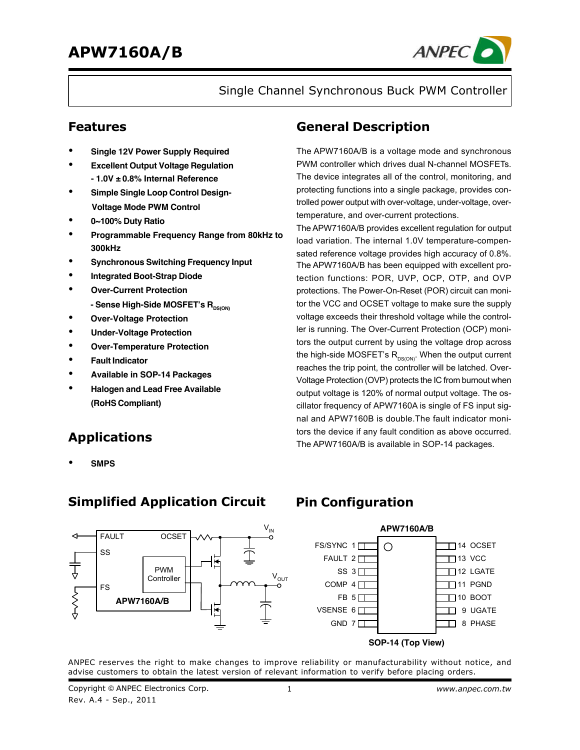

Single Channel Synchronous Buck PWM Controller

### **Features**

- **Single 12V Power Supply Required**
- **Excellent Output Voltage Regulation - 1.0V ± 0.8% Internal Reference**
- **Simple Single Loop Control Design- Voltage Mode PWM Control**
- **0~100% Duty Ratio**
- **Programmable Frequency Range from 80kHz to 300kHz**
- **Synchronous Switching Frequency Input**
- **Integrated Boot-Strap Diode**
- **Over-Current Protection** - Sense High-Side MOSFET's R<sub>DS(ON)</sub>
- **Over-Voltage Protection**
- **Under-Voltage Protection**
- **Over-Temperature Protection**
- **Fault Indicator**
- **Available in SOP-14 Packages**
- **Halogen and Lead Free Available (RoHS Compliant)**

### **Applications**

• **SMPS**

### **Simplified Application Circuit**



### **General Description**

The APW7160A/B is a voltage mode and synchronous PWM controller which drives dual N-channel MOSFETs. The device integrates all of the control, monitoring, and protecting functions into a single package, provides controlled power output with over-voltage, under-voltage, overtemperature, and over-current protections.

The APW7160A/B provides excellent regulation for output load variation. The internal 1.0V temperature-compensated reference voltage provides high accuracy of 0.8%. The APW7160A/B has been equipped with excellent protection functions: POR, UVP, OCP, OTP, and OVP protections. The Power-On-Reset (POR) circuit can monitor the VCC and OCSET voltage to make sure the supply voltage exceeds their threshold voltage while the controller is running. The Over-Current Protection (OCP) monitors the output current by using the voltage drop across the high-side MOSFET's  $R_{DS(ON)}$ . When the output current reaches the trip point, the controller will be latched. Over-Voltage Protection (OVP) protects the IC from burnout when output voltage is 120% of normal output voltage. The oscillator frequency of APW7160A is single of FS input signal and APW7160B is double.The fault indicator monitors the device if any fault condition as above occurred. The APW7160A/B is available in SOP-14 packages.

### **Pin Configuration**



ANPEC reserves the right to make changes to improve reliability or manufacturability without notice, and advise customers to obtain the latest version of relevant information to verify before placing orders.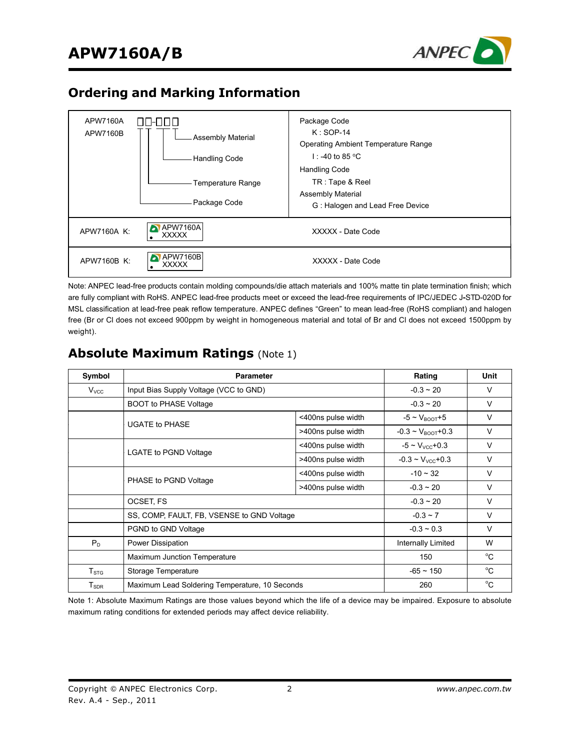

## **Ordering and Marking Information**



Note: ANPEC lead-free products contain molding compounds/die attach materials and 100% matte tin plate termination finish; which are fully compliant with RoHS. ANPEC lead-free products meet or exceed the lead-free requirements of IPC/JEDEC J**-**STD-020D for MSL classification at lead-free peak reflow temperature. ANPEC defines "Green" to mean lead-free (RoHS compliant) and halogen free (Br or Cl does not exceed 900ppm by weight in homogeneous material and total of Br and Cl does not exceed 1500ppm by weight).

| Symbol                       | <b>Parameter</b>                               | Rating             | <b>Unit</b>                       |              |
|------------------------------|------------------------------------------------|--------------------|-----------------------------------|--------------|
| $V_{\text{VCC}}$             | Input Bias Supply Voltage (VCC to GND)         |                    | $-0.3 \sim 20$                    | V            |
|                              | <b>BOOT to PHASE Voltage</b>                   |                    | $-0.3 \sim 20$                    | $\vee$       |
|                              | <400ns pulse width<br><b>UGATE to PHASE</b>    |                    | $-5 \sim V_{\text{BOOT}} + 5$     | $\vee$       |
|                              |                                                | >400ns pulse width | $-0.3 \sim V_{\text{BOOT}} + 0.3$ | V            |
|                              |                                                | <400ns pulse width | $-5 \sim V_{VCC} + 0.3$           | $\vee$       |
|                              | <b>LGATE to PGND Voltage</b>                   | >400ns pulse width | $-0.3 - V_{VCC} + 0.3$            | V            |
|                              |                                                | <400ns pulse width | $-10 \sim 32$                     | $\vee$       |
|                              | PHASE to PGND Voltage                          | >400ns pulse width | $-0.3 - 20$                       | $\vee$       |
|                              | OCSET, FS                                      |                    | $-0.3 \sim 20$                    | V            |
|                              | SS, COMP, FAULT, FB, VSENSE to GND Voltage     |                    | $-0.3 \sim 7$                     | V            |
|                              | PGND to GND Voltage                            |                    | $-0.3 - 0.3$                      | $\vee$       |
| $P_D$                        | Power Dissipation                              |                    | Internally Limited                | W            |
|                              | Maximum Junction Temperature                   |                    | 150                               | °C           |
| $\mathsf{T}_{\text{STG}}$    | Storage Temperature                            | $-65 \sim 150$     | $^{\circ}$ C                      |              |
| ${\mathsf T}_{\textsf{SDR}}$ | Maximum Lead Soldering Temperature, 10 Seconds |                    | 260                               | $^{\circ}$ C |

### **Absolute Maximum Ratings** (Note 1)

Note 1: Absolute Maximum Ratings are those values beyond which the life of a device may be impaired. Exposure to absolute maximum rating conditions for extended periods may affect device reliability.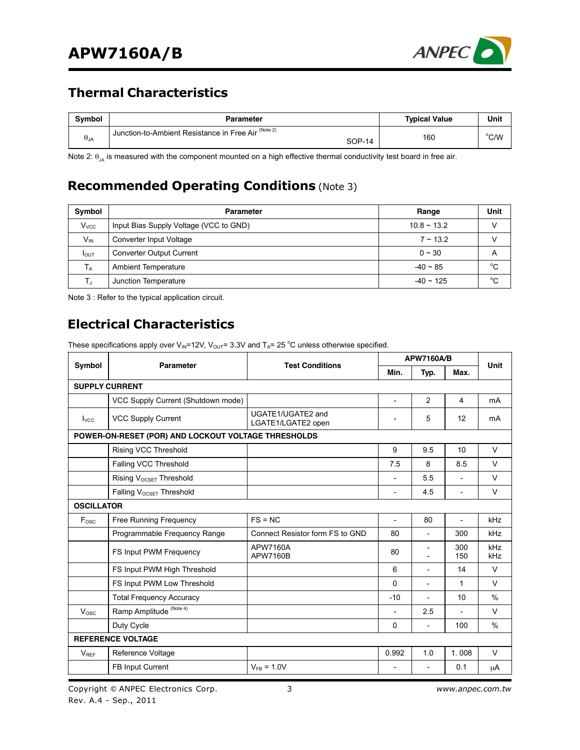

## **Thermal Characteristics**

| <b>Symbol</b> | Parameter                                                            | <b>Typical Value</b> | Unit |
|---------------|----------------------------------------------------------------------|----------------------|------|
| $\theta_{JA}$ | Junction-to-Ambient Resistance in Free Air (Note 2)<br><b>SOP-14</b> | 160                  | °C/W |

Note 2:  $\theta_{JA}$  is measured with the component mounted on a high effective thermal conductivity test board in free air.

## **Recommended Operating Conditions** (Note 3)

| Symbol           | Parameter                              | Range          | Unit |
|------------------|----------------------------------------|----------------|------|
| $V_{VCC}$        | Input Bias Supply Voltage (VCC to GND) | $10.8 - 13.2$  |      |
| $V_{\text{IN}}$  | Converter Input Voltage                | $7 \sim 13.2$  |      |
| $I_{\text{OUT}}$ | <b>Converter Output Current</b>        | $0 \sim 30$    | A    |
| $T_A$            | <b>Ambient Temperature</b>             | $-40 \sim 85$  | °C   |
| т.               | Junction Temperature                   | $-40 \sim 125$ | °C   |

Note 3 : Refer to the typical application circuit.

## **Electrical Characteristics**

These specifications apply over V<sub>IN</sub>=12V, V<sub>OUT</sub>= 3.3V and T<sub>A</sub>= 25 °C unless otherwise specified.

| Symbol            | Parameter                                           | <b>Test Conditions</b>                  | <b>APW7160A/B</b>        |                          |                          | Unit          |
|-------------------|-----------------------------------------------------|-----------------------------------------|--------------------------|--------------------------|--------------------------|---------------|
|                   |                                                     |                                         | Min.                     | Typ.                     | Max.                     |               |
|                   | <b>SUPPLY CURRENT</b>                               |                                         |                          |                          |                          |               |
|                   | VCC Supply Current (Shutdown mode)                  |                                         | L.                       | $\overline{2}$           | 4                        | mA            |
| $I_{VCC}$         | <b>VCC Supply Current</b>                           | UGATE1/UGATE2 and<br>LGATE1/LGATE2 open | $\overline{\phantom{a}}$ | 5                        | 12                       | mA            |
|                   | POWER-ON-RESET (POR) AND LOCKOUT VOLTAGE THRESHOLDS |                                         |                          |                          |                          |               |
|                   | Rising VCC Threshold                                |                                         | 9                        | 9.5                      | 10                       | $\vee$        |
|                   | Falling VCC Threshold                               |                                         | 7.5                      | 8                        | 8.5                      | $\vee$        |
|                   | Rising V <sub>OCSET</sub> Threshold                 |                                         | $\overline{\phantom{a}}$ | 5.5                      |                          | $\vee$        |
|                   | Falling V <sub>OCSET</sub> Threshold                |                                         | $\overline{\phantom{a}}$ | 4.5                      | $\overline{a}$           | $\vee$        |
| <b>OSCILLATOR</b> |                                                     |                                         |                          |                          |                          |               |
| Fosc              | <b>Free Running Frequency</b>                       | $FS = NC$                               | $\overline{\phantom{0}}$ | 80                       | $\overline{\phantom{0}}$ | kHz           |
|                   | Programmable Frequency Range                        | Connect Resistor form FS to GND         | 80                       | $\overline{\phantom{a}}$ | 300                      | kHz           |
|                   | FS Input PWM Frequency                              | <b>APW7160A</b><br><b>APW7160B</b>      | 80                       |                          | 300<br>150               | kHz<br>kHz    |
|                   | FS Input PWM High Threshold                         |                                         | 6                        | $\overline{a}$           | 14                       | $\vee$        |
|                   | FS Input PWM Low Threshold                          |                                         | $\Omega$                 | $\overline{\phantom{0}}$ | 1                        | $\vee$        |
|                   | <b>Total Frequency Accuracy</b>                     |                                         | $-10$                    | $\overline{\phantom{a}}$ | 10                       | $\frac{0}{0}$ |
| V <sub>osc</sub>  | Ramp Amplitude <sup>(Note 4)</sup>                  |                                         | $\overline{\phantom{a}}$ | 2.5                      | $\overline{a}$           | $\vee$        |
|                   | Duty Cycle                                          |                                         | 0                        | $\overline{\phantom{a}}$ | 100                      | $\frac{0}{0}$ |
|                   | <b>REFERENCE VOLTAGE</b>                            |                                         |                          |                          |                          |               |
| $V_{RFF}$         | Reference Voltage                                   |                                         | 0.992                    | 1.0                      | 1.008                    | $\vee$        |
|                   | FB Input Current                                    | $V_{FB} = 1.0 V$                        | $\overline{\phantom{a}}$ |                          | 0.1                      | μA            |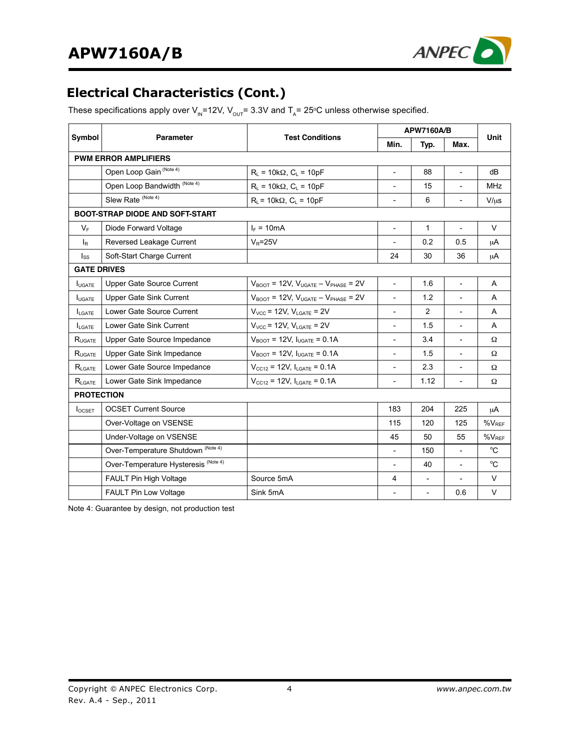

## **Electrical Characteristics (Cont.)**

These specifications apply over V<sub>IN</sub>=12V, V<sub>OUT</sub>= 3.3V and T<sub>A</sub>= 25°C unless otherwise specified.

|                         | <b>Parameter</b>                                | <b>Test Conditions</b>                                              | <b>APW7160A/B</b>        | Unit                     |                          |             |
|-------------------------|-------------------------------------------------|---------------------------------------------------------------------|--------------------------|--------------------------|--------------------------|-------------|
| Symbol                  |                                                 |                                                                     | Min.                     | Typ.                     | Max.                     |             |
|                         | <b>PWM ERROR AMPLIFIERS</b>                     |                                                                     |                          |                          |                          |             |
|                         | Open Loop Gain (Note 4)                         | $R_L$ = 10k $\Omega$ , $C_L$ = 10pF                                 | $\overline{\phantom{a}}$ | 88                       | $\overline{\phantom{a}}$ | dВ          |
|                         | Open Loop Bandwidth (Note 4)                    | $R_L$ = 10k $\Omega$ , $C_L$ = 10pF                                 | $\overline{\phantom{a}}$ | 15                       |                          | <b>MHz</b>  |
|                         | Slew Rate (Note 4)                              | $R_L$ = 10k $\Omega$ , $C_L$ = 10pF                                 | $\overline{\phantom{a}}$ | 6                        | $\overline{\phantom{a}}$ | $V/ \mu s$  |
|                         | <b>BOOT-STRAP DIODE AND SOFT-START</b>          |                                                                     |                          |                          |                          |             |
| $V_F$                   | Diode Forward Voltage                           | $I_F = 10mA$                                                        | $\overline{\phantom{a}}$ | 1                        |                          | $\vee$      |
| $\mathsf{I}_\mathsf{R}$ | Reversed Leakage Current                        | $V_R = 25V$                                                         | $\overline{\phantom{a}}$ | 0.2                      | 0.5                      | μA          |
| $I_{SS}$                | Soft-Start Charge Current                       |                                                                     | 24                       | 30                       | 36                       | μA          |
| <b>GATE DRIVES</b>      |                                                 |                                                                     |                          |                          |                          |             |
| <b>I</b> UGATE          | Upper Gate Source Current                       | $V_{\text{BOOT}}$ = 12V, $V_{\text{UGATE}} - V_{\text{PHASE}}$ = 2V | $\blacksquare$           | 1.6                      | $\overline{\phantom{a}}$ | A           |
| <b>IUGATE</b>           | Upper Gate Sink Current                         | $V_{\text{BOOT}}$ = 12V, $V_{\text{UGATE}} - V_{\text{PHASE}}$ = 2V | $\overline{\phantom{a}}$ | 1.2                      |                          | A           |
| <b>LGATE</b>            | Lower Gate Source Current                       | $V_{VCC}$ = 12V, $V_{LGATE}$ = 2V                                   | $\overline{\phantom{0}}$ | 2                        | $\overline{\phantom{a}}$ | A           |
| $I_{LGATF}$             | Lower Gate Sink Current                         | $V_{VCC}$ = 12V, $V_{LGATE}$ = 2V                                   | $\overline{\phantom{a}}$ | 1.5                      | $\blacksquare$           | A           |
| $R_{\text{UGATE}}$      | Upper Gate Source Impedance                     | $V_{\text{BOOT}}$ = 12V, $I_{\text{UGATE}}$ = 0.1A                  | $\overline{\phantom{a}}$ | 3.4                      | $\overline{\phantom{a}}$ | Ω           |
| RUGATE                  | Upper Gate Sink Impedance                       | $V_{\text{BOOT}}$ = 12V, $I_{\text{UGATE}}$ = 0.1A                  | $\overline{\phantom{a}}$ | 1.5                      | $\blacksquare$           | Ω           |
| $R_{\text{LGATE}}$      | Lower Gate Source Impedance                     | $V_{CC12}$ = 12V, $I_{LSATE}$ = 0.1A                                | $\overline{\phantom{a}}$ | 2.3                      |                          | Ω           |
| $R_{\text{LGATE}}$      | Lower Gate Sink Impedance                       | $V_{CC12}$ = 12V, $I_{LGATE}$ = 0.1A                                | $\overline{\phantom{a}}$ | 1.12                     | $\overline{\phantom{a}}$ | Ω           |
| <b>PROTECTION</b>       |                                                 |                                                                     |                          |                          |                          |             |
| <b>I</b> OCSET          | <b>OCSET Current Source</b>                     |                                                                     | 183                      | 204                      | 225                      | μA          |
|                         | Over-Voltage on VSENSE                          |                                                                     | 115                      | 120                      | 125                      | $%V_{REF}$  |
|                         | Under-Voltage on VSENSE                         |                                                                     | 45                       | 50                       | 55                       | $%V_{REF}$  |
|                         | Over-Temperature Shutdown <sup>(Note 4)</sup>   |                                                                     | $\overline{\phantom{a}}$ | 150                      | $\blacksquare$           | $^{\circ}C$ |
|                         | Over-Temperature Hysteresis <sup>(Note 4)</sup> |                                                                     | $\overline{\phantom{a}}$ | 40                       |                          | $^{\circ}C$ |
|                         | <b>FAULT Pin High Voltage</b>                   | Source 5mA                                                          | 4                        | $\overline{\phantom{a}}$ |                          | $\vee$      |
|                         | <b>FAULT Pin Low Voltage</b>                    | Sink 5mA                                                            | $\overline{\phantom{a}}$ | $\overline{\phantom{a}}$ | 0.6                      | V           |

Note 4: Guarantee by design, not production test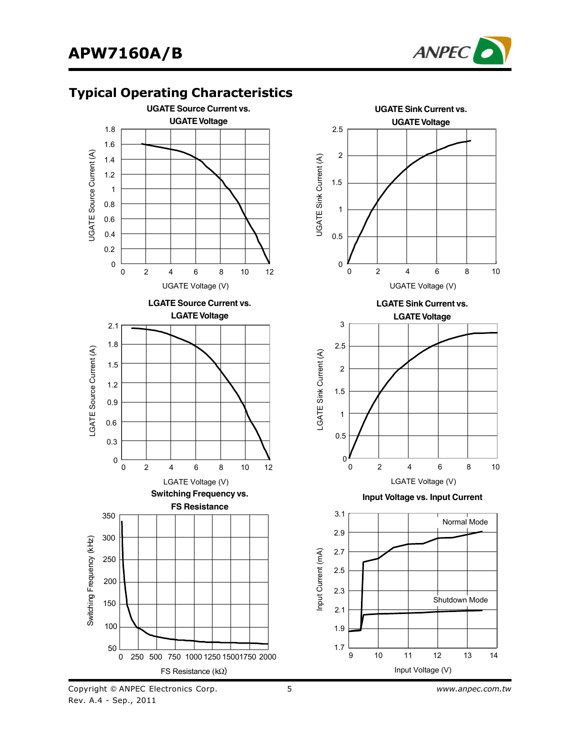

**UGATE Sink Current vs.**

### **Typical Operating Characteristics**



**FS Resistance**

FS Resistance (kΩ)

0 250 500 750 1000 1250 15001750 2000

LGATE Voltage (V)

0 2 4 6 8 10 12



0

Switching Frequency (kHz) witching Frequency (kHz)

50

100

150

200

250

300

350

5 *www.anpec.com.tw*

Input Voltage (V)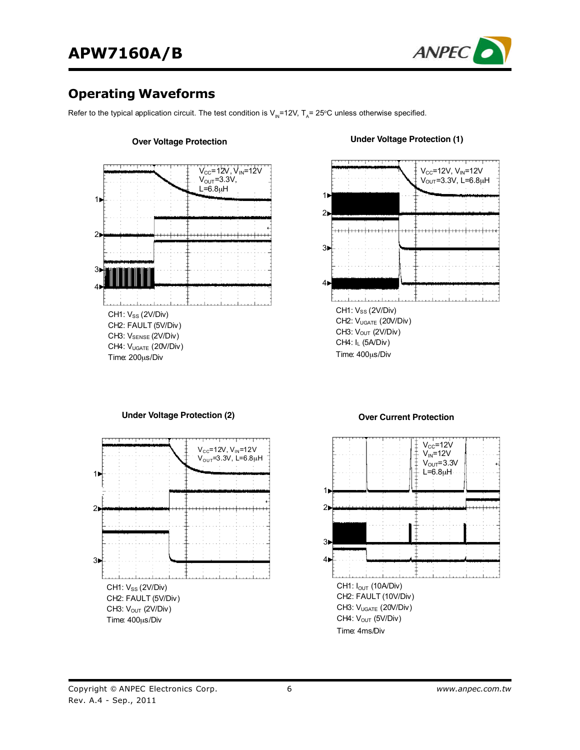

### **Operating Waveforms**

Refer to the typical application circuit. The test condition is  $V_{\text{IN}}=12V$ , T<sub>A</sub>= 25°C unless otherwise specified.



#### **Over Voltage Protection**

#### **Under Voltage Protection (1)**



**Under Voltage Protection (2)**



#### **Over Current Protection**

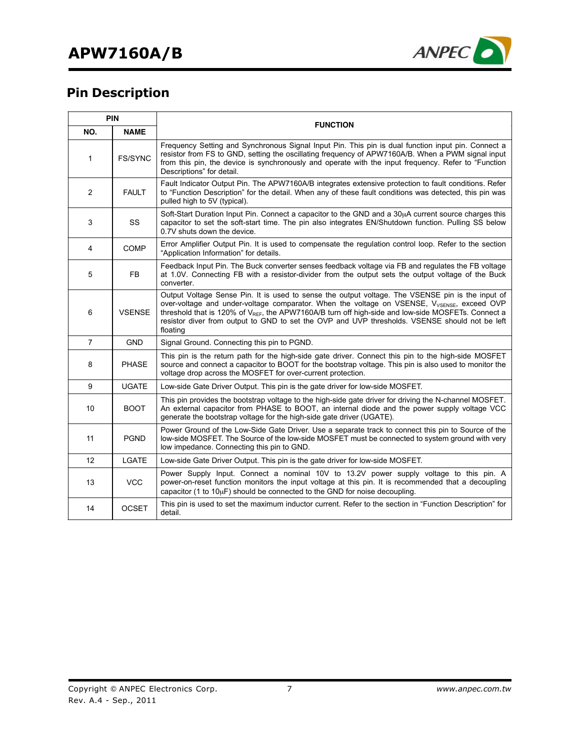

# **Pin Description**

| <b>PIN</b>     |                | <b>FUNCTION</b>                                                                                                                                                                                                                                                                                                                                                                                                                             |  |  |
|----------------|----------------|---------------------------------------------------------------------------------------------------------------------------------------------------------------------------------------------------------------------------------------------------------------------------------------------------------------------------------------------------------------------------------------------------------------------------------------------|--|--|
| NO.            | <b>NAME</b>    |                                                                                                                                                                                                                                                                                                                                                                                                                                             |  |  |
| 1              | <b>FS/SYNC</b> | Frequency Setting and Synchronous Signal Input Pin. This pin is dual function input pin. Connect a<br>resistor from FS to GND, setting the oscillating frequency of APW7160A/B. When a PWM signal input<br>from this pin, the device is synchronously and operate with the input frequency. Refer to "Function"<br>Descriptions" for detail.                                                                                                |  |  |
| 2              | <b>FAULT</b>   | Fault Indicator Output Pin. The APW7160A/B integrates extensive protection to fault conditions. Refer<br>to "Function Description" for the detail. When any of these fault conditions was detected, this pin was<br>pulled high to 5V (typical).                                                                                                                                                                                            |  |  |
| 3              | SS             | Soft-Start Duration Input Pin. Connect a capacitor to the GND and a 30µA current source charges this<br>capacitor to set the soft-start time. The pin also integrates EN/Shutdown function. Pulling SS below<br>0.7V shuts down the device.                                                                                                                                                                                                 |  |  |
| 4              | <b>COMP</b>    | Error Amplifier Output Pin. It is used to compensate the regulation control loop. Refer to the section<br>"Application Information" for details.                                                                                                                                                                                                                                                                                            |  |  |
| 5              | FB             | Feedback Input Pin. The Buck converter senses feedback voltage via FB and regulates the FB voltage<br>at 1.0V. Connecting FB with a resistor-divider from the output sets the output voltage of the Buck<br>converter.                                                                                                                                                                                                                      |  |  |
| 6              | <b>VSENSE</b>  | Output Voltage Sense Pin. It is used to sense the output voltage. The VSENSE pin is the input of<br>over-voltage and under-voltage comparator. When the voltage on VSENSE, V <sub>VSENSE</sub> , exceed OVP<br>threshold that is 120% of V <sub>REF</sub> , the APW7160A/B turn off high-side and low-side MOSFETs. Connect a<br>resistor diver from output to GND to set the OVP and UVP thresholds. VSENSE should not be left<br>floating |  |  |
| $\overline{7}$ | <b>GND</b>     | Signal Ground. Connecting this pin to PGND.                                                                                                                                                                                                                                                                                                                                                                                                 |  |  |
| 8              | <b>PHASE</b>   | This pin is the return path for the high-side gate driver. Connect this pin to the high-side MOSFET<br>source and connect a capacitor to BOOT for the bootstrap voltage. This pin is also used to monitor the<br>voltage drop across the MOSFET for over-current protection.                                                                                                                                                                |  |  |
| 9              | <b>UGATE</b>   | Low-side Gate Driver Output. This pin is the gate driver for low-side MOSFET.                                                                                                                                                                                                                                                                                                                                                               |  |  |
| 10             | <b>BOOT</b>    | This pin provides the bootstrap voltage to the high-side gate driver for driving the N-channel MOSFET.<br>An external capacitor from PHASE to BOOT, an internal diode and the power supply voltage VCC<br>generate the bootstrap voltage for the high-side gate driver (UGATE).                                                                                                                                                             |  |  |
| 11             | <b>PGND</b>    | Power Ground of the Low-Side Gate Driver. Use a separate track to connect this pin to Source of the<br>low-side MOSFET. The Source of the low-side MOSFET must be connected to system ground with very<br>low impedance. Connecting this pin to GND.                                                                                                                                                                                        |  |  |
| 12             | LGATE          | Low-side Gate Driver Output. This pin is the gate driver for low-side MOSFET.                                                                                                                                                                                                                                                                                                                                                               |  |  |
| 13             | <b>VCC</b>     | Power Supply Input. Connect a nominal 10V to 13.2V power supply voltage to this pin. A<br>power-on-reset function monitors the input voltage at this pin. It is recommended that a decoupling<br>capacitor (1 to $10\mu$ F) should be connected to the GND for noise decoupling.                                                                                                                                                            |  |  |
| 14             | <b>OCSET</b>   | This pin is used to set the maximum inductor current. Refer to the section in "Function Description" for<br>detail.                                                                                                                                                                                                                                                                                                                         |  |  |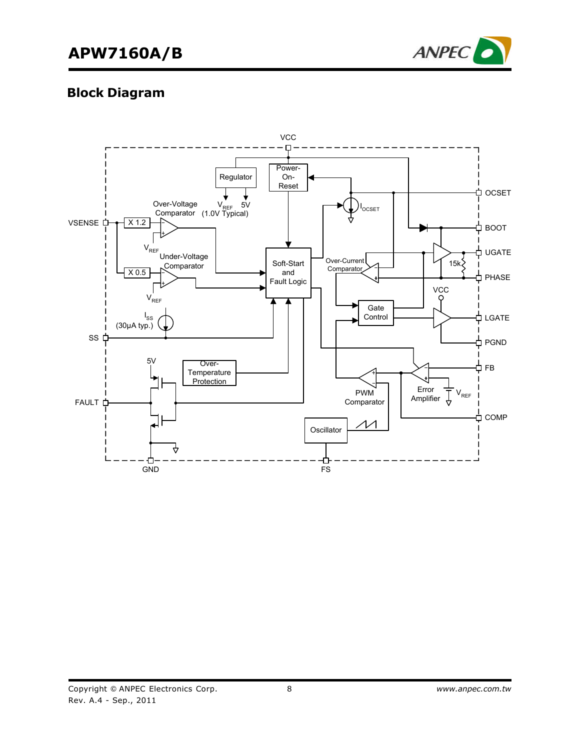# **APW7160A/B**



## **Block Diagram**

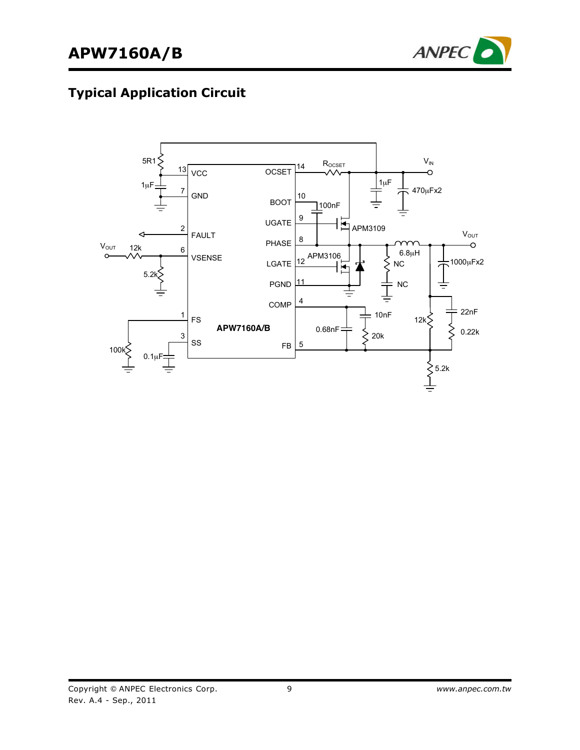

# **Typical Application Circuit**

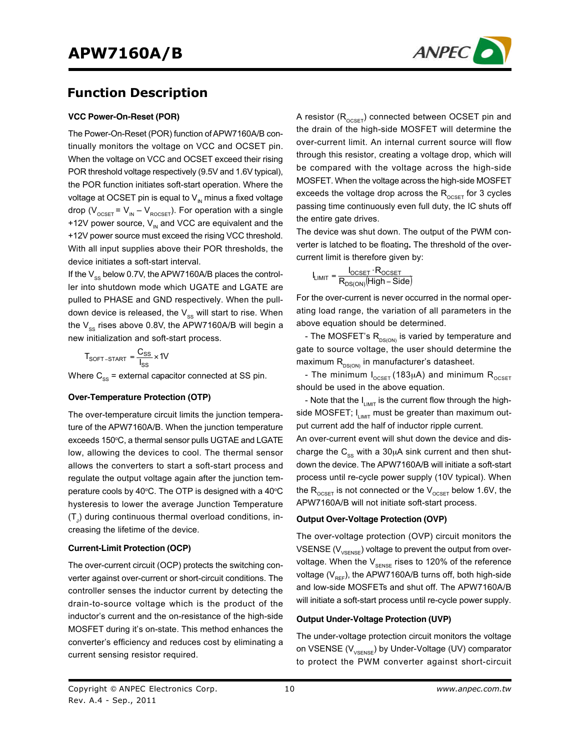

### **Function Description**

#### **VCC Power-On-Reset (POR)**

The Power-On-Reset (POR) function of APW7160A/B continually monitors the voltage on VCC and OCSET pin. When the voltage on VCC and OCSET exceed their rising POR threshold voltage respectively (9.5V and 1.6V typical), the POR function initiates soft-start operation. Where the voltage at OCSET pin is equal to  $V_{\text{N}}$  minus a fixed voltage drop ( $V_{OCSET}$  =  $V_{IN} - V_{ROCSET}$ ). For operation with a single +12V power source,  $V_{\text{N}}$  and VCC are equivalent and the +12V power source must exceed the rising VCC threshold. With all input supplies above their POR thresholds, the device initiates a soft-start interval.

If the  $V_{\infty}$  below 0.7V, the APW7160A/B places the controller into shutdown mode which UGATE and LGATE are pulled to PHASE and GND respectively. When the pulldown device is released, the  $V_{ss}$  will start to rise. When the  $V_{\text{ss}}$  rises above 0.8V, the APW7160A/B will begin a new initialization and soft-start process.

$$
T_{\text{SOFT-STAT}} = \frac{C_{\text{SS}}}{I_{\text{SS}}} \times 10^7
$$

Where  $C_{\text{ss}}$  = external capacitor connected at SS pin.

#### **Over-Temperature Protection (OTP)**

The over-temperature circuit limits the junction temperature of the APW7160A/B. When the junction temperature exceeds 150°C, a thermal sensor pulls UGTAE and LGATE low, allowing the devices to cool. The thermal sensor allows the converters to start a soft-start process and regulate the output voltage again after the junction temperature cools by 40 $\rm ^{\circ}$ C. The OTP is designed with a 40 $\rm ^{\circ}$ C hysteresis to lower the average Junction Temperature  $\left(\mathsf{T}_\mathsf{J}\right)$  during continuous thermal overload conditions, increasing the lifetime of the device.

#### **Current-Limit Protection (OCP)**

The over-current circuit (OCP) protects the switching converter against over-current or short-circuit conditions. The controller senses the inductor current by detecting the drain-to-source voltage which is the product of the inductor's current and the on-resistance of the high-side MOSFET during it's on-state. This method enhances the converter's efficiency and reduces cost by eliminating a current sensing resistor required.

A resistor  $(R_{OCSET})$  connected between OCSET pin and the drain of the high-side MOSFET will determine the over-current limit. An internal current source will flow through this resistor, creating a voltage drop, which will be compared with the voltage across the high-side MOSFET. When the voltage across the high-side MOSFET exceeds the voltage drop across the  $R_{\text{ocstr}}$  for 3 cycles passing time continuously even full duty, the IC shuts off the entire gate drives.

The device was shut down. The output of the PWM converter is latched to be floating**.** The threshold of the overcurrent limit is therefore given by:

$$
I_{LIMIT} = \frac{I_{OCSET} \cdot R_{OCSET}}{R_{DS(ON)}(High-Side)}
$$

For the over-current is never occurred in the normal operating load range, the variation of all parameters in the above equation should be determined.

- The MOSFET's  $R_{DS(ON)}$  is varied by temperature and gate to source voltage, the user should determine the maximum  $R_{DS(ON)}$  in manufacturer's datasheet.

- The minimum  $I_{OCSET}$  (183µA) and minimum  $R_{OCSET}$ should be used in the above equation.

- Note that the  $I_{LIMIT}$  is the current flow through the highside MOSFET;  $I_{LIMIT}$  must be greater than maximum output current add the half of inductor ripple current.

An over-current event will shut down the device and discharge the  $C_{ss}$  with a 30 $\mu$ A sink current and then shutdown the device. The APW7160A/B will initiate a soft-start process until re-cycle power supply (10V typical). When the  $R_{OCSET}$  is not connected or the  $V_{OCSET}$  below 1.6V, the APW7160A/B will not initiate soft-start process.

#### **Output Over-Voltage Protection (OVP)**

The over-voltage protection (OVP) circuit monitors the VSENSE  $(V_{\text{vsENSE}})$  voltage to prevent the output from overvoltage. When the  $V_{\text{SENSE}}$  rises to 120% of the reference voltage ( $V_{RF}$ ), the APW7160A/B turns off, both high-side and low-side MOSFETs and shut off. The APW7160A/B will initiate a soft-start process until re-cycle power supply.

#### **Output Under-Voltage Protection (UVP)**

The under-voltage protection circuit monitors the voltage on VSENSE (V<sub>VSENSE</sub>) by Under-Voltage (UV) comparator to protect the PWM converter against short-circuit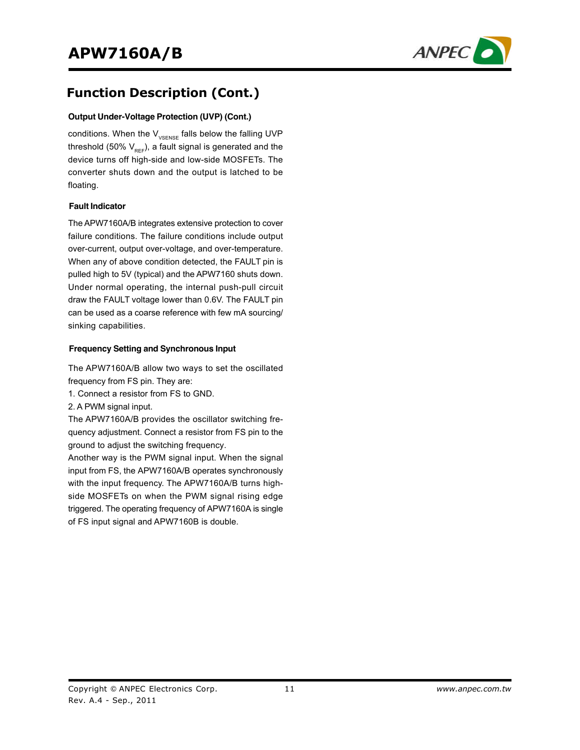

## **Function Description (Cont.)**

#### **Output Under-Voltage Protection (UVP) (Cont.)**

conditions. When the  $V_{v_{\text{SENSE}}}$  falls below the falling UVP threshold (50%  $V_{REF}$ ), a fault signal is generated and the device turns off high-side and low-side MOSFETs. The converter shuts down and the output is latched to be floating.

#### **Fault Indicator**

The APW7160A/B integrates extensive protection to cover failure conditions. The failure conditions include output over-current, output over-voltage, and over-temperature. When any of above condition detected, the FAULT pin is pulled high to 5V (typical) and the APW7160 shuts down. Under normal operating, the internal push-pull circuit draw the FAULT voltage lower than 0.6V. The FAULT pin can be used as a coarse reference with few mA sourcing/ sinking capabilities.

#### **Frequency Setting and Synchronous Input**

The APW7160A/B allow two ways to set the oscillated frequency from FS pin. They are:

- 1. Connect a resistor from FS to GND.
- 2. A PWM signal input.

The APW7160A/B provides the oscillator switching frequency adjustment. Connect a resistor from FS pin to the ground to adjust the switching frequency.

Another way is the PWM signal input. When the signal input from FS, the APW7160A/B operates synchronously with the input frequency. The APW7160A/B turns highside MOSFETs on when the PWM signal rising edge triggered. The operating frequency of APW7160A is single of FS input signal and APW7160B is double.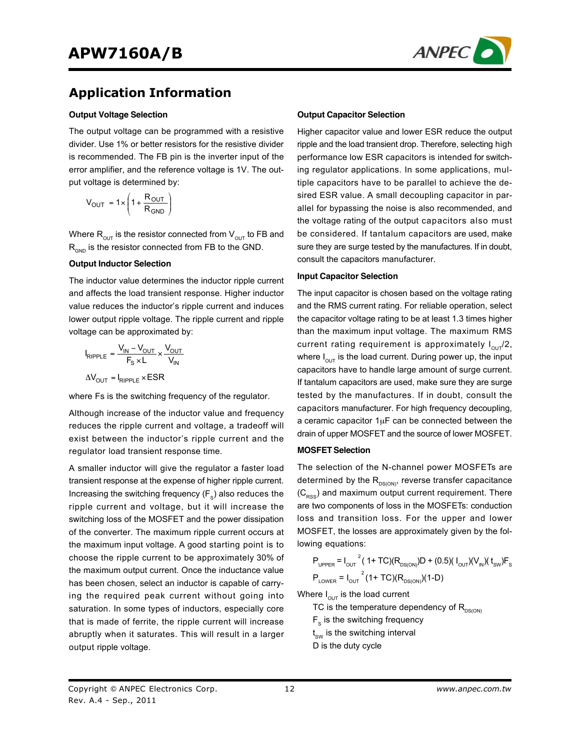

### **Application Information**

#### **Output Voltage Selection**

The output voltage can be programmed with a resistive divider. Use 1% or better resistors for the resistive divider is recommended. The FB pin is the inverter input of the error amplifier, and the reference voltage is 1V. The output voltage is determined by:

$$
V_{OUT} = 1 \times \left(1 + \frac{R_{OUT}}{R_{GND}}\right)
$$

Where  $R_{\text{out}}$  is the resistor connected from  $V_{\text{out}}$  to FB and  $R_{\text{can}}$  is the resistor connected from FB to the GND.

#### **Output Inductor Selection**

The inductor value determines the inductor ripple current and affects the load transient response. Higher inductor value reduces the inductor's ripple current and induces lower output ripple voltage. The ripple current and ripple voltage can be approximated by:

$$
I_{RIPPLE} = \frac{V_{IN} - V_{OUT}}{F_S \times L} \times \frac{V_{OUT}}{V_{IN}}
$$

$$
\Delta V_{OUT} = I_{RIPPLE} \times ESR
$$

where Fs is the switching frequency of the regulator.

Although increase of the inductor value and frequency reduces the ripple current and voltage, a tradeoff will exist between the inductor's ripple current and the regulator load transient response time.

A smaller inductor will give the regulator a faster load transient response at the expense of higher ripple current. Increasing the switching frequency  $(F_s)$  also reduces the ripple current and voltage, but it will increase the switching loss of the MOSFET and the power dissipation of the converter. The maximum ripple current occurs at the maximum input voltage. A good starting point is to choose the ripple current to be approximately 30% of the maximum output current. Once the inductance value has been chosen, select an inductor is capable of carrying the required peak current without going into saturation. In some types of inductors, especially core that is made of ferrite, the ripple current will increase abruptly when it saturates. This will result in a larger output ripple voltage.

#### **Output Capacitor Selection**

Higher capacitor value and lower ESR reduce the output ripple and the load transient drop. Therefore, selecting high performance low ESR capacitors is intended for switching regulator applications. In some applications, multiple capacitors have to be parallel to achieve the desired ESR value. A small decoupling capacitor in parallel for bypassing the noise is also recommended, and the voltage rating of the output capacitors also must be considered. If tantalum capacitors are used, make sure they are surge tested by the manufactures. If in doubt, consult the capacitors manufacturer.

#### **Input Capacitor Selection**

The input capacitor is chosen based on the voltage rating and the RMS current rating. For reliable operation, select the capacitor voltage rating to be at least 1.3 times higher than the maximum input voltage. The maximum RMS current rating requirement is approximately  $I_{\text{out}}/2$ , where  $I_{\text{out}}$  is the load current. During power up, the input capacitors have to handle large amount of surge current. If tantalum capacitors are used, make sure they are surge tested by the manufactures. If in doubt, consult the capacitors manufacturer. For high frequency decoupling, a ceramic capacitor  $1\mu$ F can be connected between the drain of upper MOSFET and the source of lower MOSFET.

#### **MOSFET Selection**

The selection of the N-channel power MOSFETs are determined by the  $R_{DS(ON)}$ , reverse transfer capacitance  $(C_{\rm{RSS}})$  and maximum output current requirement. There are two components of loss in the MOSFETs: conduction loss and transition loss. For the upper and lower MOSFET, the losses are approximately given by the following equations:

$$
P_{\text{UPPER}} = I_{\text{OUT}}^{2} (1 + TC)(R_{\text{DS(ON)}})D + (0.5)(I_{\text{OUT}})(V_{\text{IN}})(t_{\text{SW}})F_{\text{S}}
$$

$$
P_{\text{LOWER}} = I_{\text{OUT}}^{2} (1 + TC)(R_{\text{DS(ON)}})(1 - D)
$$

Where  $I_{\text{OUT}}$  is the load current

TC is the temperature dependency of  $R_{DS(ON)}$ 

 $F_s$  is the switching frequency

 $\mathfrak{t}_{\text{sw}}$  is the switching interval

D is the duty cycle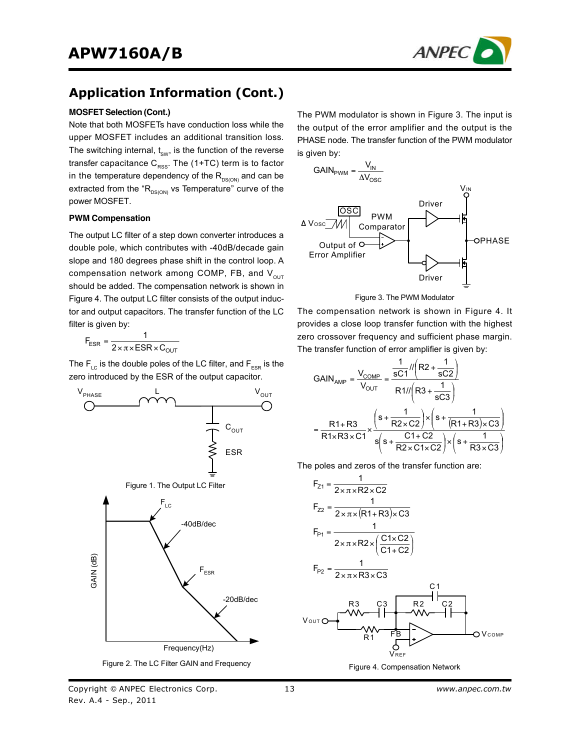

## **Application Information (Cont.)**

#### **MOSFET Selection (Cont.)**

Note that both MOSFETs have conduction loss while the upper MOSFET includes an additional transition loss. The switching internal,  $t_{\text{sw}}$ , is the function of the reverse transfer capacitance  $C_{\text{RSS}}$ . The (1+TC) term is to factor in the temperature dependency of the  $R_{DS(ON)}$  and can be extracted from the " $R_{DS(ON)}$  vs Temperature" curve of the power MOSFET.

#### **PWM Compensation**

The output LC filter of a step down converter introduces a double pole, which contributes with -40dB/decade gain slope and 180 degrees phase shift in the control loop. A compensation network among COMP, FB, and  $V_{\text{out}}$ should be added. The compensation network is shown in Figure 4. The output LC filter consists of the output inductor and output capacitors. The transfer function of the LC filter is given by:

$$
F_{ESR} = \frac{1}{2 \times \pi \times ESR \times C_{OUT}}
$$

The  $F_{\text{LC}}$  is the double poles of the LC filter, and  $F_{\text{ESR}}$  is the zero introduced by the ESR of the output capacitor.



The PWM modulator is shown in Figure 3. The input is the output of the error amplifier and the output is the PHASE node. The transfer function of the PWM modulator is given by:





The compensation network is shown in Figure 4. It provides a close loop transfer function with the highest zero crossover frequency and sufficient phase margin. The transfer function of error amplifier is given by:

$$
GAN_{AMP} = \frac{V_{COMP}}{V_{OUT}} = \frac{\frac{1}{sC1} \cdot \frac{1}{r} \cdot \frac{1}{sC2}}{R1 \cdot \frac{1}{r} \cdot \frac{1}{sC3}}
$$
\n
$$
= \frac{R1 + R3}{R1 \times R3 \times C1} \times \frac{\left(s + \frac{1}{R2 \times C2}\right) \times \left(s + \frac{1}{(R1 + R3) \times C3}\right)}{s \left(s + \frac{C1 + C2}{R2 \times C1 \times C2}\right) \times \left(s + \frac{1}{R3 \times C3}\right)}
$$

The poles and zeros of the transfer function are:

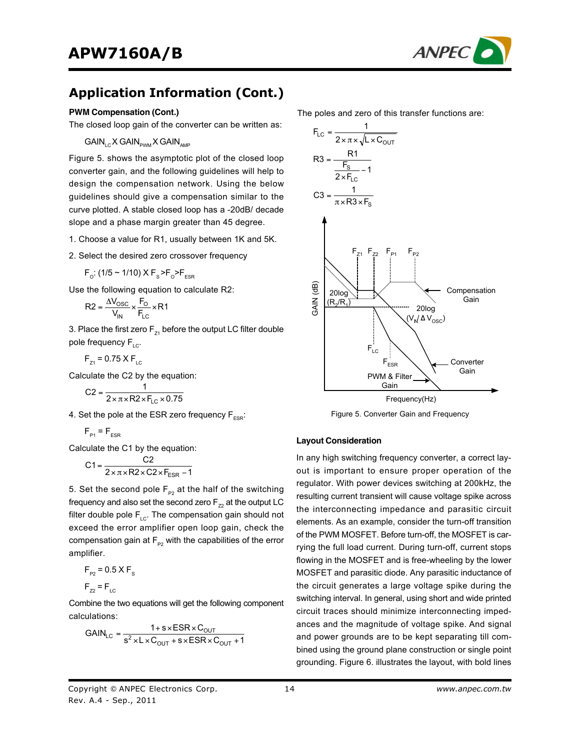

## **Application Information (Cont.)**

#### **PWM Compensation (Cont.)**

The closed loop gain of the converter can be written as:

 $GAIN_{\scriptscriptstyle{\text{L}}\mathrm{C}}$  X  $GAIN_{\scriptscriptstyle{\text{DWM}}}$  X  $GAIN_{\scriptscriptstyle{\text{AMP}}}$ 

Figure 5. shows the asymptotic plot of the closed loop converter gain, and the following guidelines will help to design the compensation network. Using the below guidelines should give a compensation similar to the curve plotted. A stable closed loop has a -20dB/ decade slope and a phase margin greater than 45 degree.

- 1. Choose a value for R1, usually between 1K and 5K.
- 2. Select the desired zero crossover frequency

$$
F_o
$$
: (1/5 ~ 1/10) X  $F_s$ > $F_o$ > $F_{ESR}$ 

Use the following equation to calculate R2:

$$
R2 = \frac{\Delta V_{\text{OSC}}}{V_{\text{IN}}} \times \frac{F_{\text{O}}}{F_{\text{LC}}} \times R1
$$

3. Place the first zero  $F_{71}$  before the output LC filter double pole frequency  $F_{\text{LC}}$ .

$$
F_{Z1} = 0.75 \times F_{LC}
$$

Calculate the C2 by the equation:

$$
C2 = \frac{1}{2 \times \pi \times R2 \times F_{LC} \times 0.75}
$$

4. Set the pole at the ESR zero frequency  $F_{ESR}$ :

$$
F_{\rm p1} = F_{\rm ESR}
$$

Calculate the C1 by the equation:

$$
C1 = \frac{C2}{2 \times \pi \times R2 \times C2 \times F_{ESR} - 1}
$$

5. Set the second pole  $F_{p_2}$  at the half of the switching frequency and also set the second zero  $F_{72}$  at the output LC filter double pole  $F_{LC}$ . The compensation gain should not exceed the error amplifier open loop gain, check the compensation gain at  $F_{p2}$  with the capabilities of the error amplifier.

$$
F_{P2} = 0.5 \times F_s
$$

$$
F_{Z2} = F_{LC}
$$

Combine the two equations will get the following component calculations:

$$
GAN_{LC} = \frac{1 + s \times ESR \times C_{OUT}}{s^2 \times L \times C_{OUT} + s \times ESR \times C_{OUT} + 1}
$$

The poles and zero of this transfer functions are:



Figure 5. Converter Gain and Frequency

#### **Layout Consideration**

In any high switching frequency converter, a correct layout is important to ensure proper operation of the regulator. With power devices switching at 200kHz, the resulting current transient will cause voltage spike across the interconnecting impedance and parasitic circuit elements. As an example, consider the turn-off transition of the PWM MOSFET. Before turn-off, the MOSFET is carrying the full load current. During turn-off, current stops flowing in the MOSFET and is free-wheeling by the lower MOSFET and parasitic diode. Any parasitic inductance of the circuit generates a large voltage spike during the switching interval. In general, using short and wide printed circuit traces should minimize interconnecting impedances and the magnitude of voltage spike. And signal and power grounds are to be kept separating till combined using the ground plane construction or single point grounding. Figure 6. illustrates the layout, with bold lines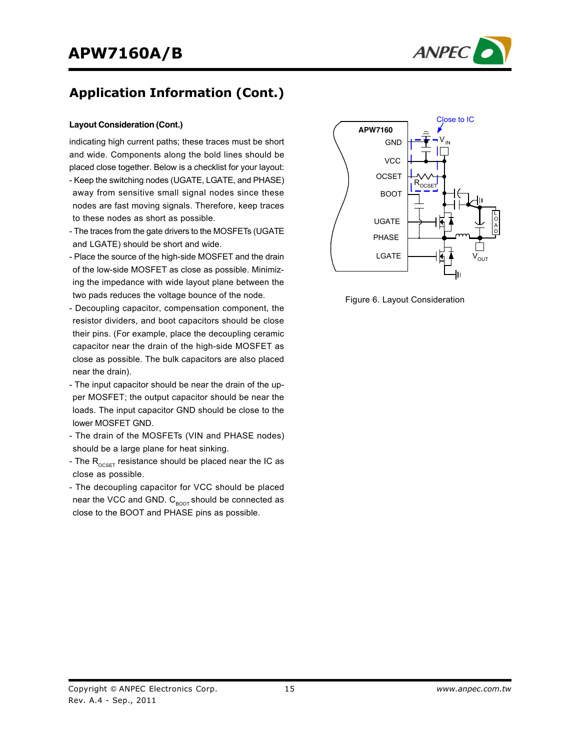

## **Application Information (Cont.)**

#### **Layout Consideration (Cont.)**

indicating high current paths; these traces must be short and wide. Components along the bold lines should be placed close together. Below is a checklist for your layout:

- Keep the switching nodes (UGATE, LGATE, and PHASE) away from sensitive small signal nodes since these nodes are fast moving signals. Therefore, keep traces to these nodes as short as possible.
- The traces from the gate drivers to the MOSFETs (UGATE and LGATE) should be short and wide.
- Place the source of the high-side MOSFET and the drain of the low-side MOSFET as close as possible. Minimizing the impedance with wide layout plane between the two pads reduces the voltage bounce of the node.
- Decoupling capacitor, compensation component, the resistor dividers, and boot capacitors should be close their pins. (For example, place the decoupling ceramic capacitor near the drain of the high-side MOSFET as close as possible. The bulk capacitors are also placed near the drain).
- The input capacitor should be near the drain of the upper MOSFET; the output capacitor should be near the loads. The input capacitor GND should be close to the lower MOSFET GND.
- The drain of the MOSFETs (VIN and PHASE nodes) should be a large plane for heat sinking.
- The  $R_{\text{OCSFT}}$  resistance should be placed near the IC as close as possible.
- The decoupling capacitor for VCC should be placed near the VCC and GND.  $C_{\text{foot}}$  should be connected as close to the BOOT and PHASE pins as possible.



Figure 6. Layout Consideration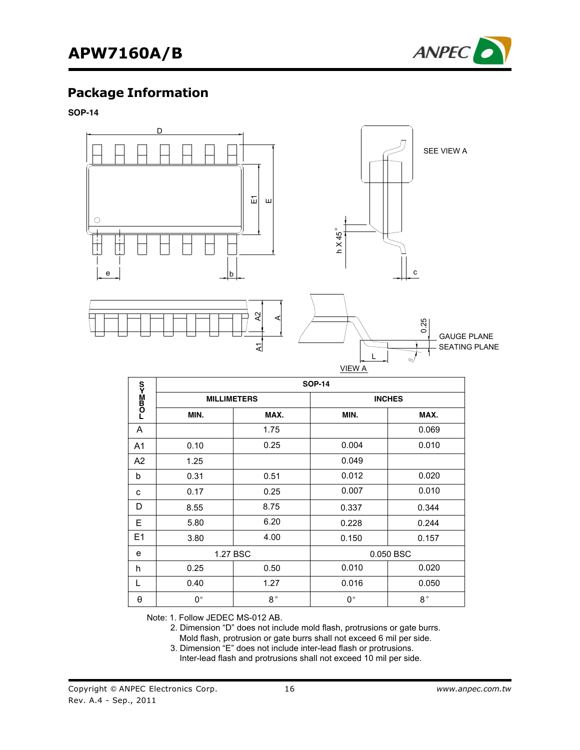

### **Package Information**

**SOP-14**



|                             | <b>SOP-14</b>      |                       |             |               |  |  |
|-----------------------------|--------------------|-----------------------|-------------|---------------|--|--|
| <b>LOm≥<co< b=""></co<></b> | <b>MILLIMETERS</b> |                       |             | <b>INCHES</b> |  |  |
|                             | MIN.               | MAX.                  | MIN.        | MAX.          |  |  |
| A                           |                    | 1.75                  |             | 0.069         |  |  |
| A <sub>1</sub>              | 0.10               | 0.25                  | 0.004       | 0.010         |  |  |
| A2                          | 1.25               |                       | 0.049       |               |  |  |
| b                           | 0.31               | 0.51                  | 0.012       | 0.020         |  |  |
| C                           | 0.17               | 0.25                  | 0.007       | 0.010         |  |  |
| D                           | 8.55               | 8.75                  | 0.337       | 0.344         |  |  |
| E                           | 5.80               | 6.20                  | 0.228       | 0.244         |  |  |
| E1                          | 3.80               | 4.00                  | 0.150       | 0.157         |  |  |
| e                           |                    | 1.27 BSC<br>0.050 BSC |             |               |  |  |
| h                           | 0.25               | 0.50                  | 0.010       | 0.020         |  |  |
| L                           | 0.40               | 1.27                  | 0.016       | 0.050         |  |  |
| θ                           | 0°                 | $8^{\circ}$           | $0^{\circ}$ | $8^{\circ}$   |  |  |

Note: 1. Follow JEDEC MS-012 AB.

2. Dimension "D" does not include mold flash, protrusions or gate burrs.

Mold flash, protrusion or gate burrs shall not exceed 6 mil per side.

 3. Dimension "E" does not include inter-lead flash or protrusions. Inter-lead flash and protrusions shall not exceed 10 mil per side.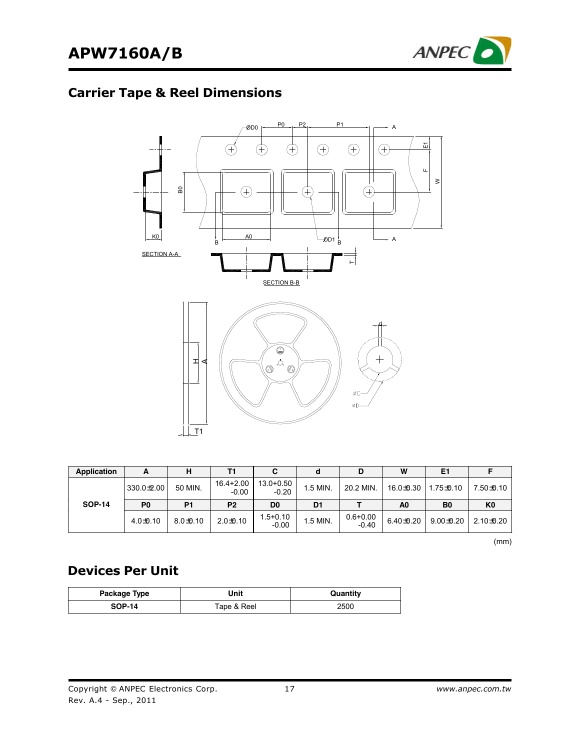

# **Carrier Tape & Reel Dimensions**



| Application   | А              | н              | Τ1                   |                      |          | D                       | W              | E1             |                |
|---------------|----------------|----------------|----------------------|----------------------|----------|-------------------------|----------------|----------------|----------------|
|               | 330.0±2.00     | 50 MIN.        | 16.4+2.00<br>$-0.00$ | 13.0+0.50<br>$-0.20$ | 1.5 MIN. | 20.2 MIN.               | 16.0±0.30      | 1.75±0.10      | 7.50±0.10      |
| <b>SOP-14</b> | P <sub>0</sub> | P <sub>1</sub> | P <sub>2</sub>       | D <sub>0</sub>       | D1       |                         | A <sub>0</sub> | B <sub>0</sub> | K <sub>0</sub> |
|               | $4.0 + 0.10$   | $8.0 + 0.10$   | $2.0 + 0.10$         | 1.5+0.10<br>$-0.00$  | 1.5 MIN. | $0.6 + 0.00$<br>$-0.40$ | 6.40 ± 0.20    | $9.00 + 0.20$  | 2.10±0.20      |

(mm)

## **Devices Per Unit**

| Package Type  | Jnit        | Quantitv |
|---------------|-------------|----------|
| <b>SOP-14</b> | Tape & Reel | 2500     |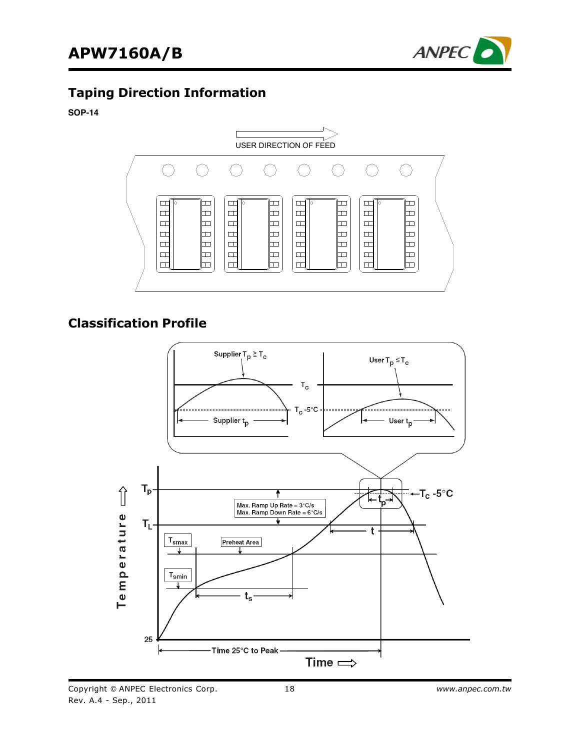

### **Taping Direction Information**

#### **SOP-14**



### **Classification Profile**

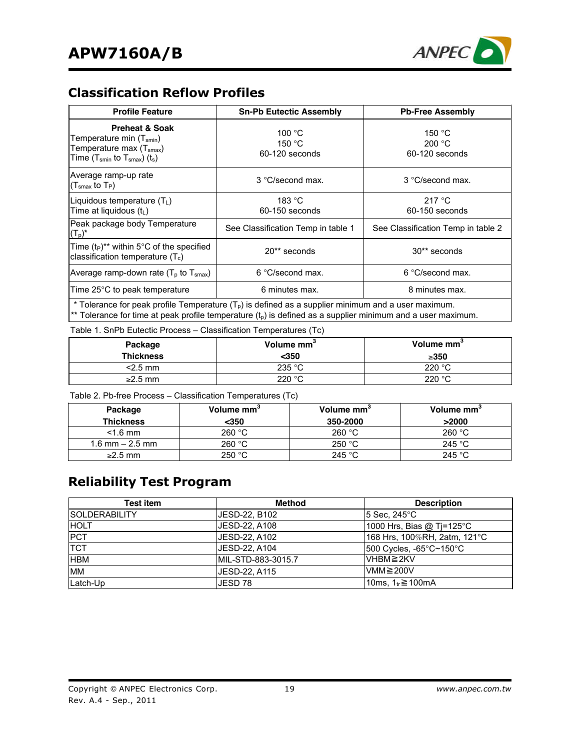

## **Classification Reflow Profiles**

| <b>Profile Feature</b>                                                                                                                                                        | <b>Sn-Pb Eutectic Assembly</b>       | <b>Pb-Free Assembly</b>            |  |  |  |
|-------------------------------------------------------------------------------------------------------------------------------------------------------------------------------|--------------------------------------|------------------------------------|--|--|--|
| <b>Preheat &amp; Soak</b><br>Temperature min (T <sub>smin</sub> )<br>Temperature max (T <sub>smax</sub> )<br>Time (T <sub>smin</sub> to T <sub>smax</sub> ) (t <sub>s</sub> ) | 100 °C<br>150 $°C$<br>60-120 seconds | 150 °C<br>200 °C<br>60-120 seconds |  |  |  |
| Average ramp-up rate<br>(T $_{\rm smax}$ to T $_{\rm P}$ )                                                                                                                    | 3 °C/second max.                     | 3 °C/second max.                   |  |  |  |
| Liquidous temperature $(T_L)$<br>Time at liquidous (tL)                                                                                                                       | 183 °C<br>60-150 seconds             | 217 °C<br>60-150 seconds           |  |  |  |
| Peak package body Temperature<br>$(T_p)^*$                                                                                                                                    | See Classification Temp in table 1   | See Classification Temp in table 2 |  |  |  |
| Time $(t_P)^{**}$ within 5°C of the specified<br>classification temperature $(T_c)$                                                                                           | 20** seconds                         | 30** seconds                       |  |  |  |
| Average ramp-down rate $(T_p$ to $T_{smax}$ )                                                                                                                                 | 6 °C/second max.                     | 6 °C/second max.                   |  |  |  |
| Time $25^{\circ}$ C to peak temperature                                                                                                                                       | 6 minutes max.                       | 8 minutes max.                     |  |  |  |
| * Tolerance for peak profile Temperature $(Tp)$ is defined as a supplier minimum and a user maximum.                                                                          |                                      |                                    |  |  |  |

\*\* Tolerance for time at peak profile temperature  $(t_p)$  is defined as a supplier minimum and a user maximum.

Table 1. SnPb Eutectic Process – Classification Temperatures (Tc)

| Package<br><b>Thickness</b> | Volume mm <sup>3</sup><br>$350$ | Volume mm <sup>3</sup><br>$\geq$ 350 |
|-----------------------------|---------------------------------|--------------------------------------|
| $<$ 2.5 mm                  | 235 °C                          | 220 $\degree$ C                      |
| $\geq$ 2.5 mm               | 220 °C                          | 220 $^{\circ}$ C                     |

Table 2. Pb-free Process – Classification Temperatures (Tc)

| Package<br><b>Thickness</b> | Volume mm <sup>-</sup><br>$350$ | Volume mm <sup>o</sup><br>350-2000 | Volume mm <sup>3</sup><br>>2000 |
|-----------------------------|---------------------------------|------------------------------------|---------------------------------|
| $<$ 1.6 mm                  | 260 °C                          | 260 °C                             | 260 °C                          |
| 1.6 mm $-$ 2.5 mm           | 260 °C                          | 250 °C                             | 245 °C                          |
| $\geq$ 2.5 mm               | 250 °C                          | 245 $^{\circ}$ C                   | 245 $^{\circ}$ C                |

### **Reliability Test Program**

| Test item             | <b>Method</b>      | <b>Description</b>           |
|-----------------------|--------------------|------------------------------|
| <b>ISOLDERABILITY</b> | JESD-22, B102      | 15 Sec. 245°C                |
| <b>HOLT</b>           | JESD-22, A108      | 1000 Hrs, Bias @ Tj=125°C    |
| <b>PCT</b>            | JESD-22, A102      | 168 Hrs, 100%RH, 2atm, 121°C |
| <b>TCT</b>            | JESD-22, A104      | 500 Cycles, -65°C~150°C      |
| <b>HBM</b>            | MIL-STD-883-3015.7 | VHBM≧2KV                     |
| <b>MM</b>             | JESD-22, A115      | VMM $≥$ 200V                 |
| Latch-Up              | JESD 78            | 10ms, $1_{tr}$ ≥ 100mA       |